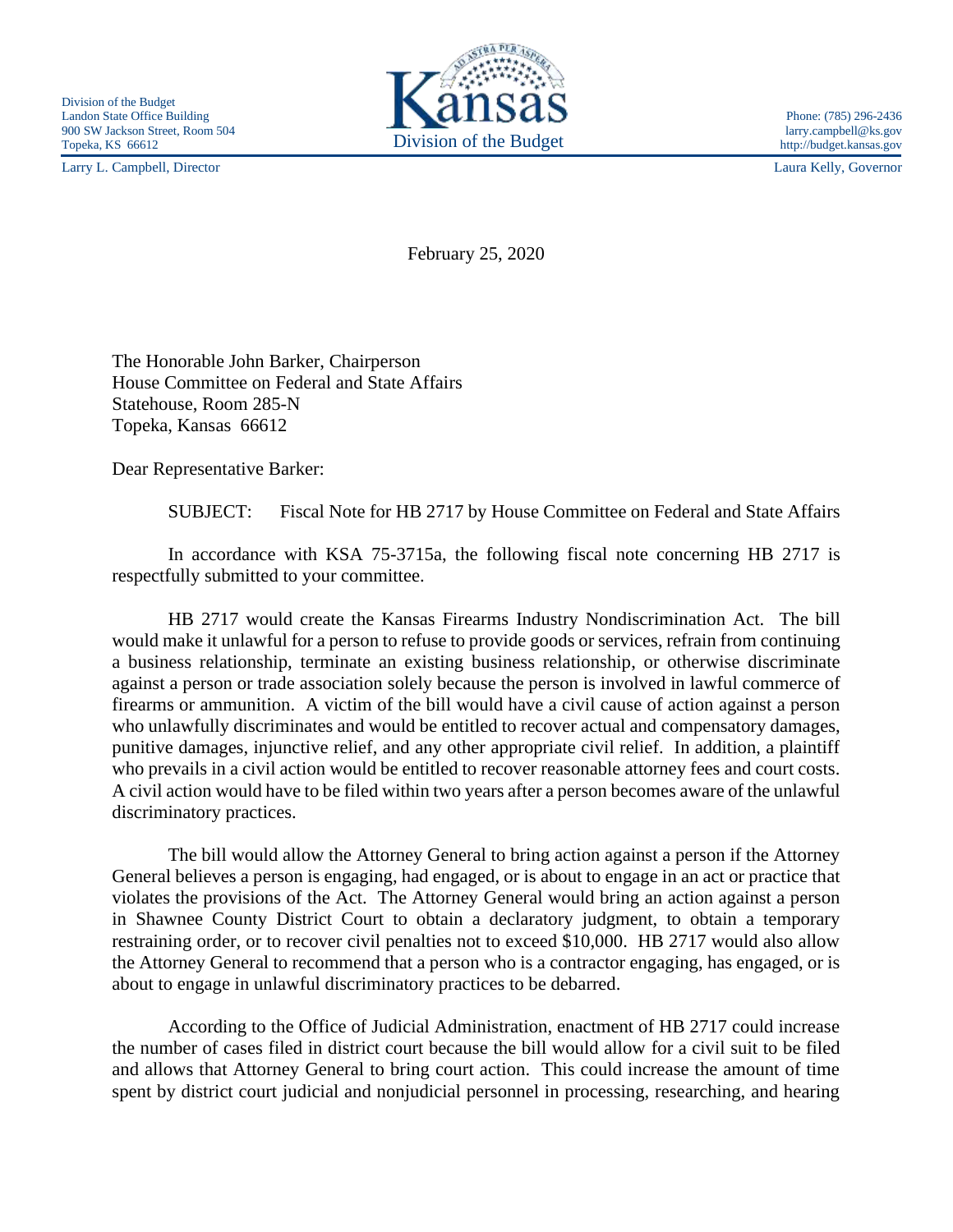Larry L. Campbell, Director Laura Kelly, Governor



http://budget.kansas.gov

February 25, 2020

The Honorable John Barker, Chairperson House Committee on Federal and State Affairs Statehouse, Room 285-N Topeka, Kansas 66612

Dear Representative Barker:

SUBJECT: Fiscal Note for HB 2717 by House Committee on Federal and State Affairs

In accordance with KSA 75-3715a, the following fiscal note concerning HB 2717 is respectfully submitted to your committee.

HB 2717 would create the Kansas Firearms Industry Nondiscrimination Act. The bill would make it unlawful for a person to refuse to provide goods or services, refrain from continuing a business relationship, terminate an existing business relationship, or otherwise discriminate against a person or trade association solely because the person is involved in lawful commerce of firearms or ammunition. A victim of the bill would have a civil cause of action against a person who unlawfully discriminates and would be entitled to recover actual and compensatory damages, punitive damages, injunctive relief, and any other appropriate civil relief. In addition, a plaintiff who prevails in a civil action would be entitled to recover reasonable attorney fees and court costs. A civil action would have to be filed within two years after a person becomes aware of the unlawful discriminatory practices.

The bill would allow the Attorney General to bring action against a person if the Attorney General believes a person is engaging, had engaged, or is about to engage in an act or practice that violates the provisions of the Act. The Attorney General would bring an action against a person in Shawnee County District Court to obtain a declaratory judgment, to obtain a temporary restraining order, or to recover civil penalties not to exceed \$10,000. HB 2717 would also allow the Attorney General to recommend that a person who is a contractor engaging, has engaged, or is about to engage in unlawful discriminatory practices to be debarred.

According to the Office of Judicial Administration, enactment of HB 2717 could increase the number of cases filed in district court because the bill would allow for a civil suit to be filed and allows that Attorney General to bring court action. This could increase the amount of time spent by district court judicial and nonjudicial personnel in processing, researching, and hearing